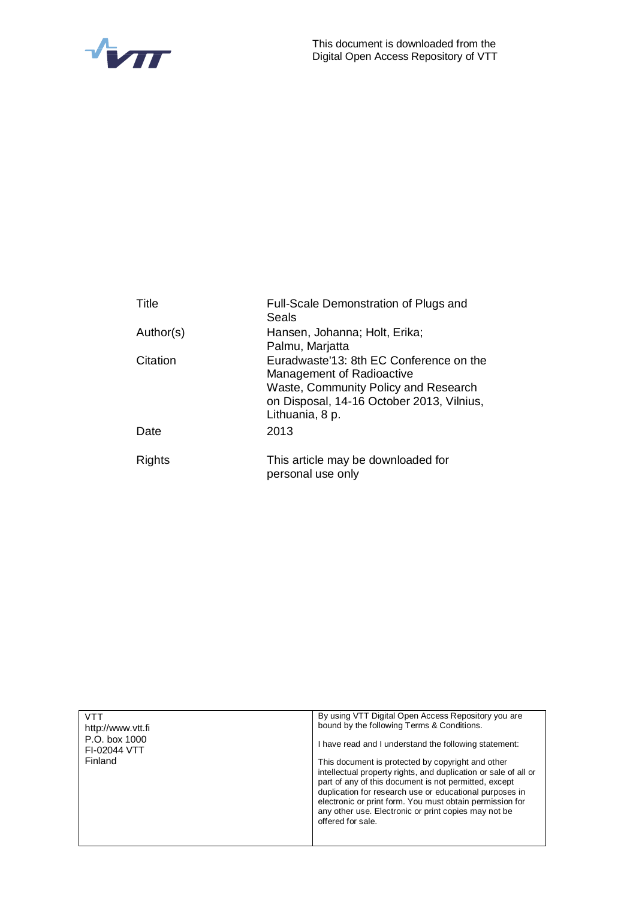

| Title         | Full-Scale Demonstration of Plugs and<br>Seals                                                                                                                               |
|---------------|------------------------------------------------------------------------------------------------------------------------------------------------------------------------------|
| Author(s)     | Hansen, Johanna; Holt, Erika;<br>Palmu, Marjatta                                                                                                                             |
| Citation      | Euradwaste'13: 8th EC Conference on the<br>Management of Radioactive<br>Waste, Community Policy and Research<br>on Disposal, 14-16 October 2013, Vilnius,<br>Lithuania, 8 p. |
| Date          | 2013                                                                                                                                                                         |
| <b>Rights</b> | This article may be downloaded for<br>personal use only                                                                                                                      |

| intellectual property rights, and duplication or sale of all or                                                     |
|---------------------------------------------------------------------------------------------------------------------|
|                                                                                                                     |
|                                                                                                                     |
|                                                                                                                     |
|                                                                                                                     |
|                                                                                                                     |
| duplication for research use or educational purposes in<br>electronic or print form. You must obtain permission for |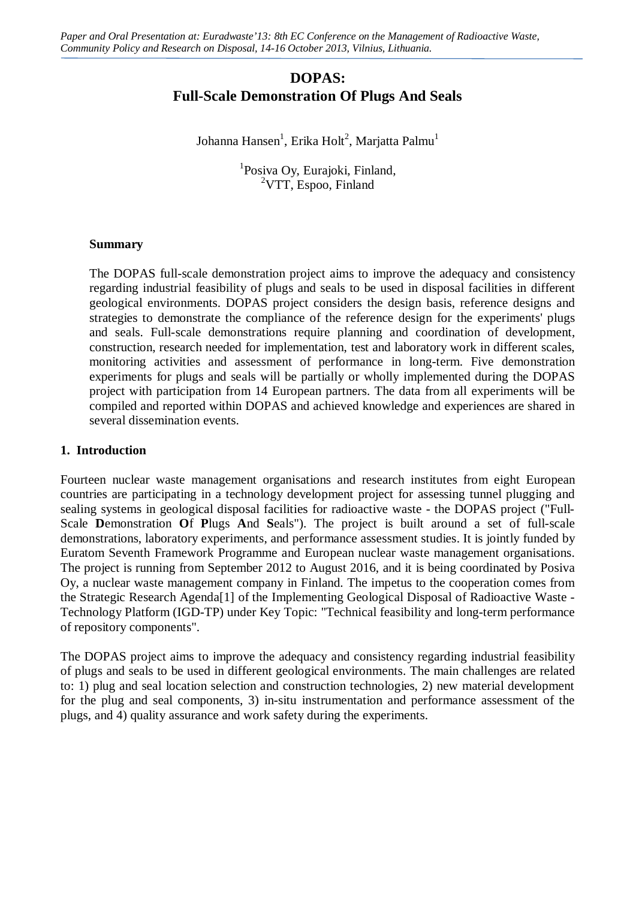# **DOPAS: Full-Scale Demonstration Of Plugs And Seals**

Johanna Hansen $^1$ , Erika Holt $^2$ , Marjatta Palmu $^1$ 

1 Posiva Oy, Eurajoki, Finland, <sup>2</sup>VTT, Espoo, Finland

### **Summary**

The DOPAS full-scale demonstration project aims to improve the adequacy and consistency regarding industrial feasibility of plugs and seals to be used in disposal facilities in different geological environments. DOPAS project considers the design basis, reference designs and strategies to demonstrate the compliance of the reference design for the experiments' plugs and seals. Full-scale demonstrations require planning and coordination of development, construction, research needed for implementation, test and laboratory work in different scales, monitoring activities and assessment of performance in long-term. Five demonstration experiments for plugs and seals will be partially or wholly implemented during the DOPAS project with participation from 14 European partners. The data from all experiments will be compiled and reported within DOPAS and achieved knowledge and experiences are shared in several dissemination events.

### **1. Introduction**

Fourteen nuclear waste management organisations and research institutes from eight European countries are participating in a technology development project for assessing tunnel plugging and sealing systems in geological disposal facilities for radioactive waste - the DOPAS project ("Full-Scale **D**emonstration **O**f **P**lugs **A**nd **S**eals"). The project is built around a set of full-scale demonstrations, laboratory experiments, and performance assessment studies. It is jointly funded by Euratom Seventh Framework Programme and European nuclear waste management organisations. The project is running from September 2012 to August 2016, and it is being coordinated by Posiva Oy, a nuclear waste management company in Finland. The impetus to the cooperation comes from the Strategic Research Agenda[1] of the Implementing Geological Disposal of Radioactive Waste - Technology Platform (IGD-TP) under Key Topic: "Technical feasibility and long-term performance of repository components".

The DOPAS project aims to improve the adequacy and consistency regarding industrial feasibility of plugs and seals to be used in different geological environments. The main challenges are related to: 1) plug and seal location selection and construction technologies, 2) new material development for the plug and seal components, 3) in-situ instrumentation and performance assessment of the plugs, and 4) quality assurance and work safety during the experiments.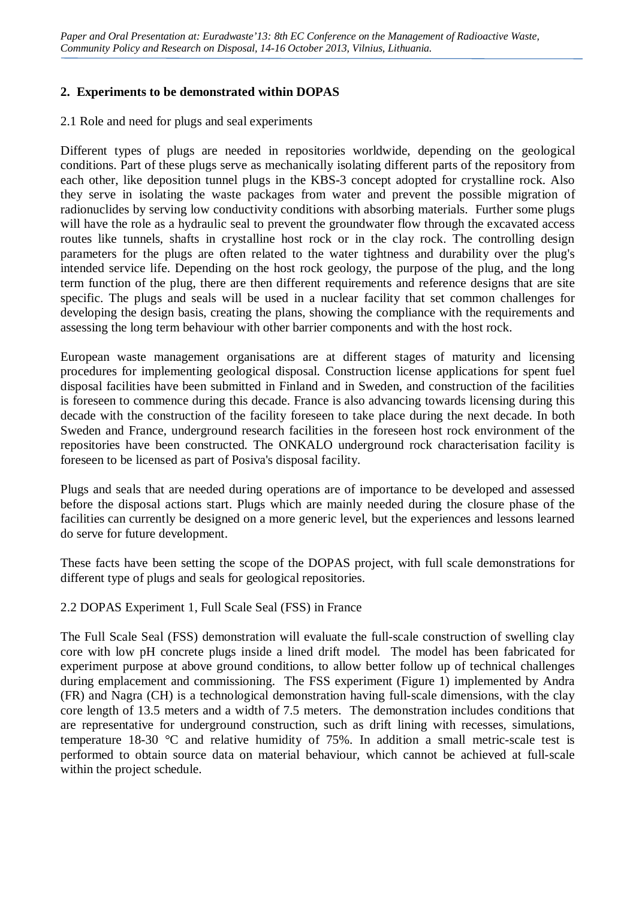## **2. Experiments to be demonstrated within DOPAS**

#### 2.1 Role and need for plugs and seal experiments

Different types of plugs are needed in repositories worldwide, depending on the geological conditions. Part of these plugs serve as mechanically isolating different parts of the repository from each other, like deposition tunnel plugs in the KBS-3 concept adopted for crystalline rock. Also they serve in isolating the waste packages from water and prevent the possible migration of radionuclides by serving low conductivity conditions with absorbing materials. Further some plugs will have the role as a hydraulic seal to prevent the groundwater flow through the excavated access routes like tunnels, shafts in crystalline host rock or in the clay rock. The controlling design parameters for the plugs are often related to the water tightness and durability over the plug's intended service life. Depending on the host rock geology, the purpose of the plug, and the long term function of the plug, there are then different requirements and reference designs that are site specific. The plugs and seals will be used in a nuclear facility that set common challenges for developing the design basis, creating the plans, showing the compliance with the requirements and assessing the long term behaviour with other barrier components and with the host rock.

European waste management organisations are at different stages of maturity and licensing procedures for implementing geological disposal. Construction license applications for spent fuel disposal facilities have been submitted in Finland and in Sweden, and construction of the facilities is foreseen to commence during this decade. France is also advancing towards licensing during this decade with the construction of the facility foreseen to take place during the next decade. In both Sweden and France, underground research facilities in the foreseen host rock environment of the repositories have been constructed. The ONKALO underground rock characterisation facility is foreseen to be licensed as part of Posiva's disposal facility.

Plugs and seals that are needed during operations are of importance to be developed and assessed before the disposal actions start. Plugs which are mainly needed during the closure phase of the facilities can currently be designed on a more generic level, but the experiences and lessons learned do serve for future development.

These facts have been setting the scope of the DOPAS project, with full scale demonstrations for different type of plugs and seals for geological repositories.

### 2.2 DOPAS Experiment 1, Full Scale Seal (FSS) in France

The Full Scale Seal (FSS) demonstration will evaluate the full-scale construction of swelling clay core with low pH concrete plugs inside a lined drift model. The model has been fabricated for experiment purpose at above ground conditions, to allow better follow up of technical challenges during emplacement and commissioning. The FSS experiment (Figure 1) implemented by Andra (FR) and Nagra (CH) is a technological demonstration having full-scale dimensions, with the clay core length of 13.5 meters and a width of 7.5 meters. The demonstration includes conditions that are representative for underground construction, such as drift lining with recesses, simulations, temperature 18-30 °C and relative humidity of 75%. In addition a small metric-scale test is performed to obtain source data on material behaviour, which cannot be achieved at full-scale within the project schedule.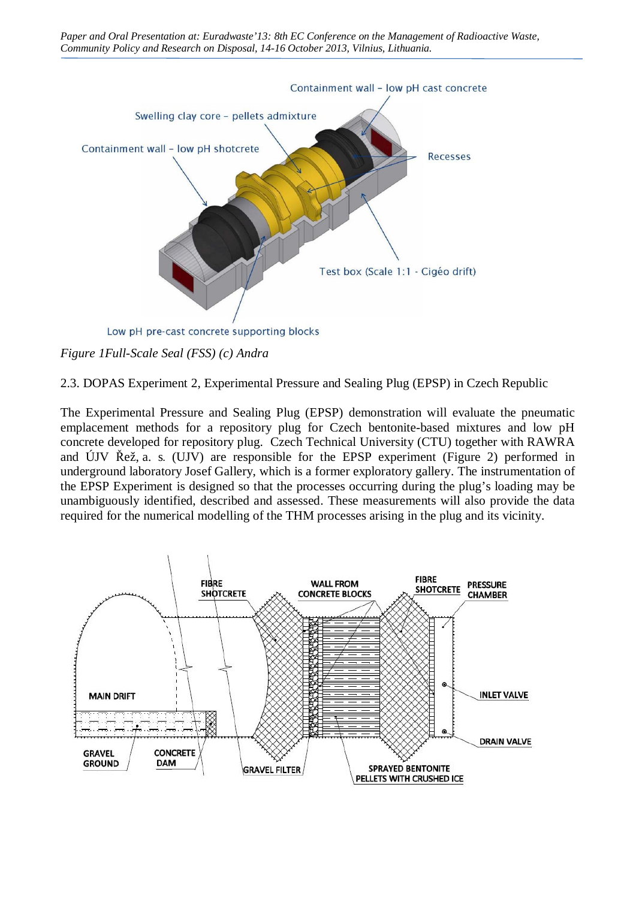

Low pH pre-cast concrete supporting blocks



2.3. DOPAS Experiment 2, Experimental Pressure and Sealing Plug (EPSP) in Czech Republic

The Experimental Pressure and Sealing Plug (EPSP) demonstration will evaluate the pneumatic emplacement methods for a repository plug for Czech bentonite-based mixtures and low pH concrete developed for repository plug. Czech Technical University (CTU) together with RAWRA and ÚJV ěež, a. s**.** (UJV) are responsible for the EPSP experiment (Figure 2) performed in underground laboratory Josef Gallery, which is a former exploratory gallery. The instrumentation of the EPSP Experiment is designed so that the processes occurring during the plug's loading may be unambiguously identified, described and assessed. These measurements will also provide the data required for the numerical modelling of the THM processes arising in the plug and its vicinity.

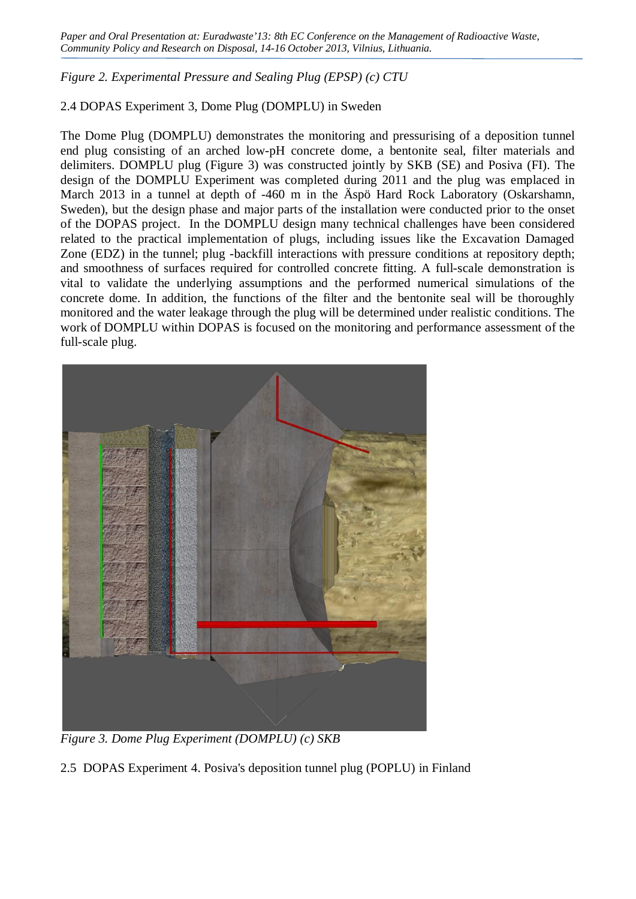## *Figure 2. Experimental Pressure and Sealing Plug (EPSP) (c) CTU*

## 2.4 DOPAS Experiment 3, Dome Plug (DOMPLU) in Sweden

The Dome Plug (DOMPLU) demonstrates the monitoring and pressurising of a deposition tunnel end plug consisting of an arched low-pH concrete dome, a bentonite seal, filter materials and delimiters. DOMPLU plug (Figure 3) was constructed jointly by SKB (SE) and Posiva (FI). The design of the DOMPLU Experiment was completed during 2011 and the plug was emplaced in March 2013 in a tunnel at depth of -460 m in the Äspö Hard Rock Laboratory (Oskarshamn, Sweden), but the design phase and major parts of the installation were conducted prior to the onset of the DOPAS project. In the DOMPLU design many technical challenges have been considered related to the practical implementation of plugs, including issues like the Excavation Damaged Zone (EDZ) in the tunnel; plug -backfill interactions with pressure conditions at repository depth; and smoothness of surfaces required for controlled concrete fitting. A full-scale demonstration is vital to validate the underlying assumptions and the performed numerical simulations of the concrete dome. In addition, the functions of the filter and the bentonite seal will be thoroughly monitored and the water leakage through the plug will be determined under realistic conditions. The work of DOMPLU within DOPAS is focused on the monitoring and performance assessment of the full-scale plug.



*Figure 3. Dome Plug Experiment (DOMPLU) (c) SKB*

2.5 DOPAS Experiment 4. Posiva's deposition tunnel plug (POPLU) in Finland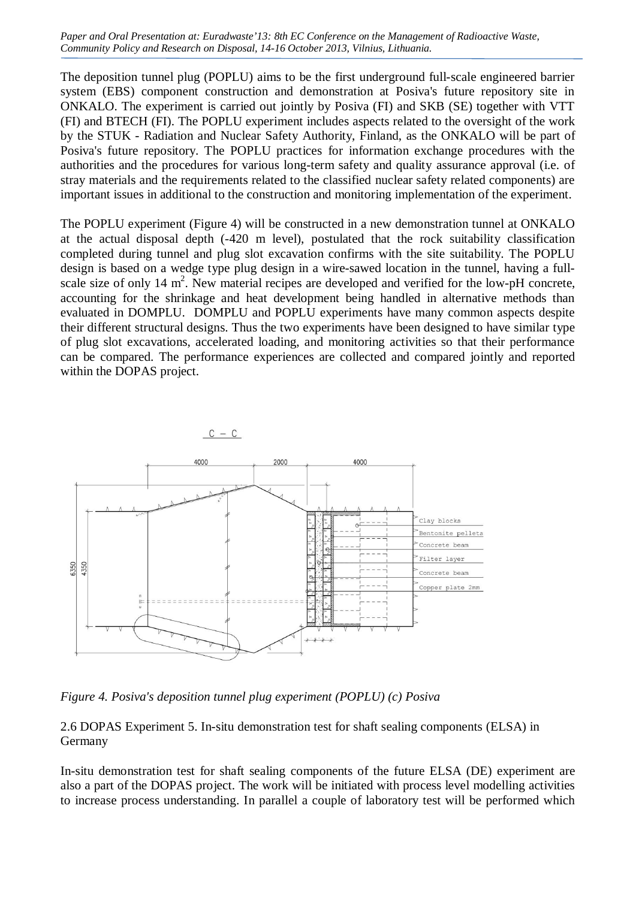*Paper and Oral Presentation at: Euradwaste'13: 8th EC Conference on the Management of Radioactive Waste, Community Policy and Research on Disposal, 14-16 October 2013, Vilnius, Lithuania.*

The deposition tunnel plug (POPLU) aims to be the first underground full-scale engineered barrier system (EBS) component construction and demonstration at Posiva's future repository site in ONKALO. The experiment is carried out jointly by Posiva (FI) and SKB (SE) together with VTT (FI) and BTECH (FI). The POPLU experiment includes aspects related to the oversight of the work by the STUK - Radiation and Nuclear Safety Authority, Finland, as the ONKALO will be part of Posiva's future repository. The POPLU practices for information exchange procedures with the authorities and the procedures for various long-term safety and quality assurance approval (i.e. of stray materials and the requirements related to the classified nuclear safety related components) are important issues in additional to the construction and monitoring implementation of the experiment.

The POPLU experiment (Figure 4) will be constructed in a new demonstration tunnel at ONKALO at the actual disposal depth (-420 m level), postulated that the rock suitability classification completed during tunnel and plug slot excavation confirms with the site suitability. The POPLU design is based on a wedge type plug design in a wire-sawed location in the tunnel, having a fullscale size of only 14  $m^2$ . New material recipes are developed and verified for the low-pH concrete, accounting for the shrinkage and heat development being handled in alternative methods than evaluated in DOMPLU. DOMPLU and POPLU experiments have many common aspects despite their different structural designs. Thus the two experiments have been designed to have similar type of plug slot excavations, accelerated loading, and monitoring activities so that their performance can be compared. The performance experiences are collected and compared jointly and reported within the DOPAS project.



*Figure 4. Posiva's deposition tunnel plug experiment (POPLU) (c) Posiva*

2.6 DOPAS Experiment 5. In-situ demonstration test for shaft sealing components (ELSA) in Germany

In-situ demonstration test for shaft sealing components of the future ELSA (DE) experiment are also a part of the DOPAS project. The work will be initiated with process level modelling activities to increase process understanding. In parallel a couple of laboratory test will be performed which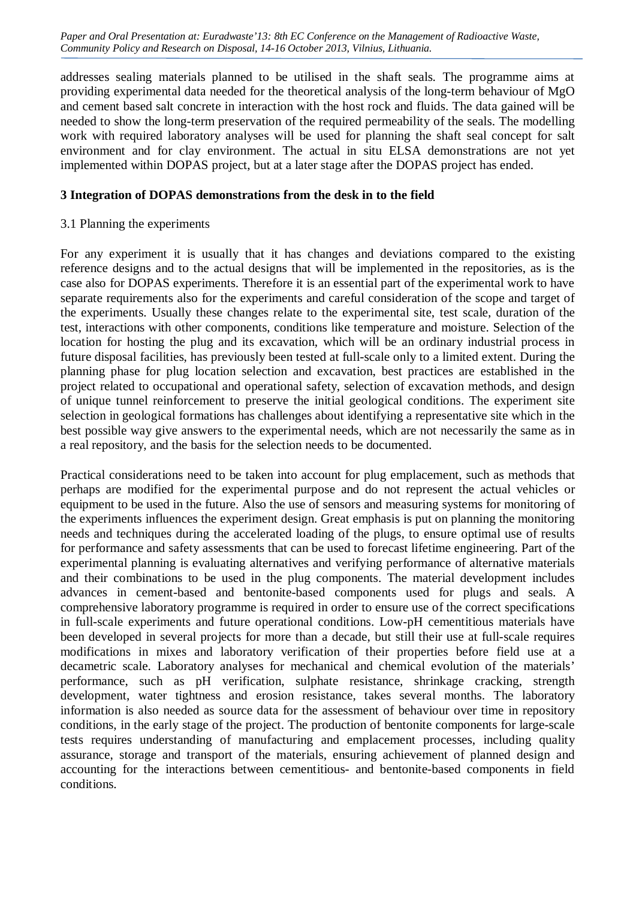addresses sealing materials planned to be utilised in the shaft seals. The programme aims at providing experimental data needed for the theoretical analysis of the long-term behaviour of MgO and cement based salt concrete in interaction with the host rock and fluids. The data gained will be needed to show the long-term preservation of the required permeability of the seals. The modelling work with required laboratory analyses will be used for planning the shaft seal concept for salt environment and for clay environment. The actual in situ ELSA demonstrations are not yet implemented within DOPAS project, but at a later stage after the DOPAS project has ended.

## **3 Integration of DOPAS demonstrations from the desk in to the field**

### 3.1 Planning the experiments

For any experiment it is usually that it has changes and deviations compared to the existing reference designs and to the actual designs that will be implemented in the repositories, as is the case also for DOPAS experiments. Therefore it is an essential part of the experimental work to have separate requirements also for the experiments and careful consideration of the scope and target of the experiments. Usually these changes relate to the experimental site, test scale, duration of the test, interactions with other components, conditions like temperature and moisture. Selection of the location for hosting the plug and its excavation, which will be an ordinary industrial process in future disposal facilities, has previously been tested at full-scale only to a limited extent. During the planning phase for plug location selection and excavation, best practices are established in the project related to occupational and operational safety, selection of excavation methods, and design of unique tunnel reinforcement to preserve the initial geological conditions. The experiment site selection in geological formations has challenges about identifying a representative site which in the best possible way give answers to the experimental needs, which are not necessarily the same as in a real repository, and the basis for the selection needs to be documented.

Practical considerations need to be taken into account for plug emplacement, such as methods that perhaps are modified for the experimental purpose and do not represent the actual vehicles or equipment to be used in the future. Also the use of sensors and measuring systems for monitoring of the experiments influences the experiment design. Great emphasis is put on planning the monitoring needs and techniques during the accelerated loading of the plugs, to ensure optimal use of results for performance and safety assessments that can be used to forecast lifetime engineering. Part of the experimental planning is evaluating alternatives and verifying performance of alternative materials and their combinations to be used in the plug components. The material development includes advances in cement-based and bentonite-based components used for plugs and seals. A comprehensive laboratory programme is required in order to ensure use of the correct specifications in full-scale experiments and future operational conditions. Low-pH cementitious materials have been developed in several projects for more than a decade, but still their use at full-scale requires modifications in mixes and laboratory verification of their properties before field use at a decametric scale. Laboratory analyses for mechanical and chemical evolution of the materials' performance, such as pH verification, sulphate resistance, shrinkage cracking, strength development, water tightness and erosion resistance, takes several months. The laboratory information is also needed as source data for the assessment of behaviour over time in repository conditions, in the early stage of the project. The production of bentonite components for large-scale tests requires understanding of manufacturing and emplacement processes, including quality assurance, storage and transport of the materials, ensuring achievement of planned design and accounting for the interactions between cementitious- and bentonite-based components in field conditions.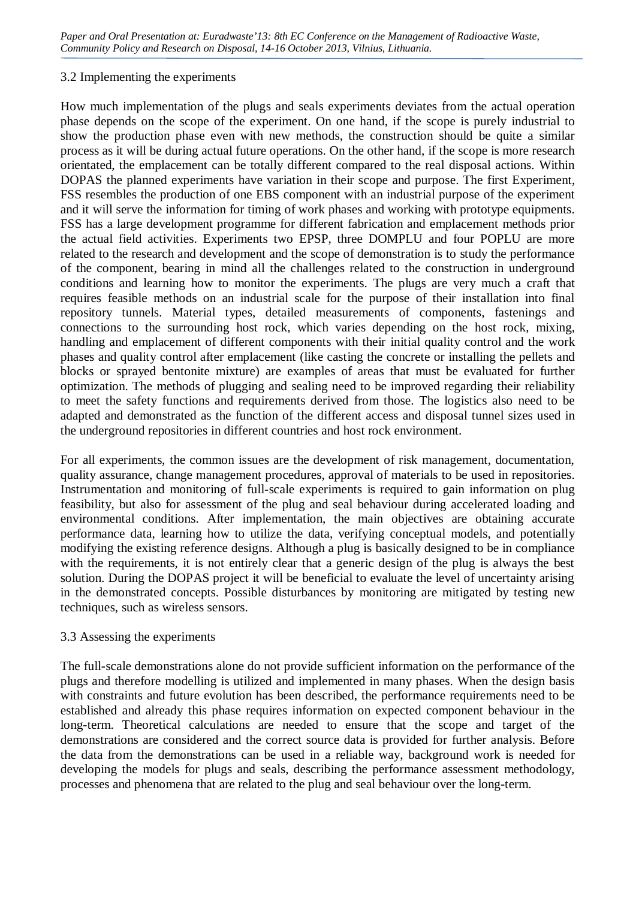## 3.2 Implementing the experiments

How much implementation of the plugs and seals experiments deviates from the actual operation phase depends on the scope of the experiment. On one hand, if the scope is purely industrial to show the production phase even with new methods, the construction should be quite a similar process as it will be during actual future operations. On the other hand, if the scope is more research orientated, the emplacement can be totally different compared to the real disposal actions. Within DOPAS the planned experiments have variation in their scope and purpose. The first Experiment, FSS resembles the production of one EBS component with an industrial purpose of the experiment and it will serve the information for timing of work phases and working with prototype equipments. FSS has a large development programme for different fabrication and emplacement methods prior the actual field activities. Experiments two EPSP, three DOMPLU and four POPLU are more related to the research and development and the scope of demonstration is to study the performance of the component, bearing in mind all the challenges related to the construction in underground conditions and learning how to monitor the experiments. The plugs are very much a craft that requires feasible methods on an industrial scale for the purpose of their installation into final repository tunnels. Material types, detailed measurements of components, fastenings and connections to the surrounding host rock, which varies depending on the host rock, mixing, handling and emplacement of different components with their initial quality control and the work phases and quality control after emplacement (like casting the concrete or installing the pellets and blocks or sprayed bentonite mixture) are examples of areas that must be evaluated for further optimization. The methods of plugging and sealing need to be improved regarding their reliability to meet the safety functions and requirements derived from those. The logistics also need to be adapted and demonstrated as the function of the different access and disposal tunnel sizes used in the underground repositories in different countries and host rock environment.

For all experiments, the common issues are the development of risk management, documentation, quality assurance, change management procedures, approval of materials to be used in repositories. Instrumentation and monitoring of full-scale experiments is required to gain information on plug feasibility, but also for assessment of the plug and seal behaviour during accelerated loading and environmental conditions. After implementation, the main objectives are obtaining accurate performance data, learning how to utilize the data, verifying conceptual models, and potentially modifying the existing reference designs. Although a plug is basically designed to be in compliance with the requirements, it is not entirely clear that a generic design of the plug is always the best solution. During the DOPAS project it will be beneficial to evaluate the level of uncertainty arising in the demonstrated concepts. Possible disturbances by monitoring are mitigated by testing new techniques, such as wireless sensors.

### 3.3 Assessing the experiments

The full-scale demonstrations alone do not provide sufficient information on the performance of the plugs and therefore modelling is utilized and implemented in many phases. When the design basis with constraints and future evolution has been described, the performance requirements need to be established and already this phase requires information on expected component behaviour in the long-term. Theoretical calculations are needed to ensure that the scope and target of the demonstrations are considered and the correct source data is provided for further analysis. Before the data from the demonstrations can be used in a reliable way, background work is needed for developing the models for plugs and seals, describing the performance assessment methodology, processes and phenomena that are related to the plug and seal behaviour over the long-term.